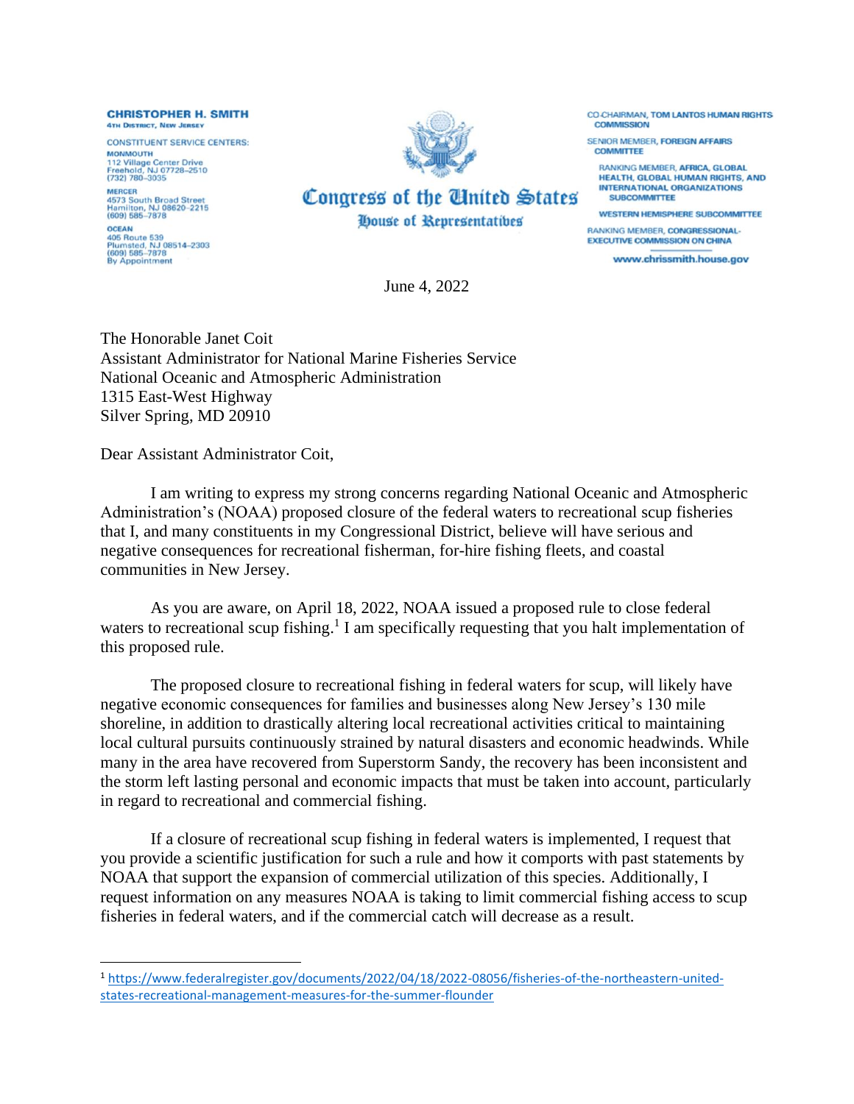**CHRISTOPHER H. SMITH 4TH DISTRICT, NEW JERSEY** 

**CONSTITUENT SERVICE CENTERS: MONMOUTH** 112 Village Center Drive<br>Freehold, NJ 07728-2510<br>(732) 780-3035 **MERCER MERCER**<br>4573 South Broad Street<br>Hamilton, NJ 08620-2215<br>(609) 585-7878 **OCEAN** 

**405 Route 539** 405 Route 539<br>Plumsted, NJ 08514–2303<br>(609) 585–7878<br>By Appointment



Congress of the United States House of Representatibes

CO CHAIRMAN, TOM LANTOS HUMAN RIGHTS COMMISSION

SENIOR MEMBER, FOREIGN AFFAIRS **COMMITTEE** 

RANKING MEMBER, AFRICA, GLOBAL **HEALTH, GLOBAL HUMAN RIGHTS, AND INTERNATIONAL ORGANIZATIONS SURCOMMITTEE** 

**WESTERN HEMISPHERE SUBCOMMITTEE** 

**RANKING MEMBER, CONGRESSIONAL-EXECUTIVE COMMISSION ON CHINA** 

www.chrissmith.house.gov

June 4, 2022

The Honorable Janet Coit Assistant Administrator for National Marine Fisheries Service National Oceanic and Atmospheric Administration 1315 East-West Highway Silver Spring, MD 20910

Dear Assistant Administrator Coit,

I am writing to express my strong concerns regarding National Oceanic and Atmospheric Administration's (NOAA) proposed closure of the federal waters to recreational scup fisheries that I, and many constituents in my Congressional District, believe will have serious and negative consequences for recreational fisherman, for-hire fishing fleets, and coastal communities in New Jersey.

As you are aware, on April 18, 2022, NOAA issued a proposed rule to close federal waters to recreational scup fishing.<sup>1</sup> I am specifically requesting that you halt implementation of this proposed rule.

The proposed closure to recreational fishing in federal waters for scup, will likely have negative economic consequences for families and businesses along New Jersey's 130 mile shoreline, in addition to drastically altering local recreational activities critical to maintaining local cultural pursuits continuously strained by natural disasters and economic headwinds. While many in the area have recovered from Superstorm Sandy, the recovery has been inconsistent and the storm left lasting personal and economic impacts that must be taken into account, particularly in regard to recreational and commercial fishing.

If a closure of recreational scup fishing in federal waters is implemented, I request that you provide a scientific justification for such a rule and how it comports with past statements by NOAA that support the expansion of commercial utilization of this species. Additionally, I request information on any measures NOAA is taking to limit commercial fishing access to scup fisheries in federal waters, and if the commercial catch will decrease as a result.

<sup>1</sup> [https://www.federalregister.gov/documents/2022/04/18/2022-08056/fisheries-of-the-northeastern-united](https://www.federalregister.gov/documents/2022/04/18/2022-08056/fisheries-of-the-northeastern-united-states-recreational-management-measures-for-the-summer-flounder)[states-recreational-management-measures-for-the-summer-flounder](https://www.federalregister.gov/documents/2022/04/18/2022-08056/fisheries-of-the-northeastern-united-states-recreational-management-measures-for-the-summer-flounder)